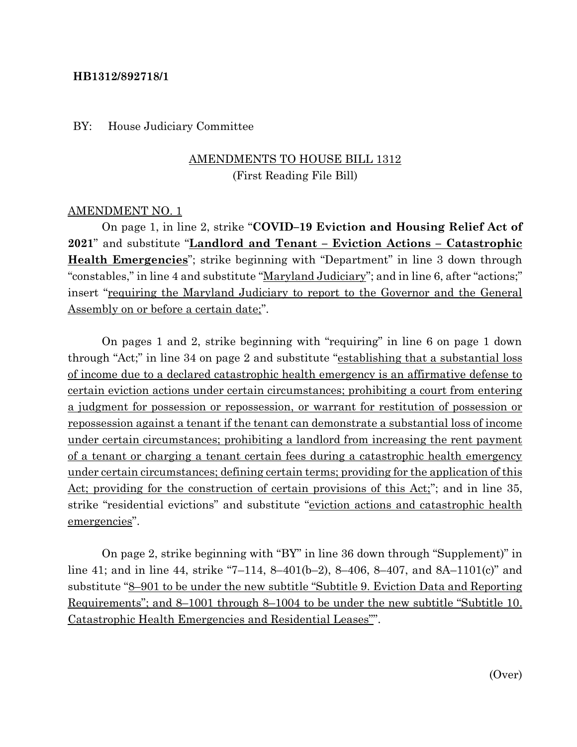#### **HB1312/892718/1**

#### BY: House Judiciary Committee

## AMENDMENTS TO HOUSE BILL 1312 (First Reading File Bill)

#### AMENDMENT NO. 1

On page 1, in line 2, strike "**COVID–19 Eviction and Housing Relief Act of 2021**" and substitute "**Landlord and Tenant – Eviction Actions – Catastrophic Health Emergencies**"; strike beginning with "Department" in line 3 down through "constables," in line 4 and substitute "Maryland Judiciary"; and in line 6, after "actions;" insert "requiring the Maryland Judiciary to report to the Governor and the General Assembly on or before a certain date;".

On pages 1 and 2, strike beginning with "requiring" in line 6 on page 1 down through "Act;" in line 34 on page 2 and substitute "establishing that a substantial loss of income due to a declared catastrophic health emergency is an affirmative defense to certain eviction actions under certain circumstances; prohibiting a court from entering a judgment for possession or repossession, or warrant for restitution of possession or repossession against a tenant if the tenant can demonstrate a substantial loss of income under certain circumstances; prohibiting a landlord from increasing the rent payment of a tenant or charging a tenant certain fees during a catastrophic health emergency under certain circumstances; defining certain terms; providing for the application of this Act; providing for the construction of certain provisions of this Act;"; and in line 35, strike "residential evictions" and substitute "eviction actions and catastrophic health emergencies".

On page 2, strike beginning with "BY" in line 36 down through "Supplement)" in line 41; and in line 44, strike "7–114, 8–401(b–2), 8–406, 8–407, and 8A–1101(c)" and substitute "8–901 to be under the new subtitle "Subtitle 9. Eviction Data and Reporting Requirements"; and 8–1001 through 8–1004 to be under the new subtitle "Subtitle 10. Catastrophic Health Emergencies and Residential Leases"".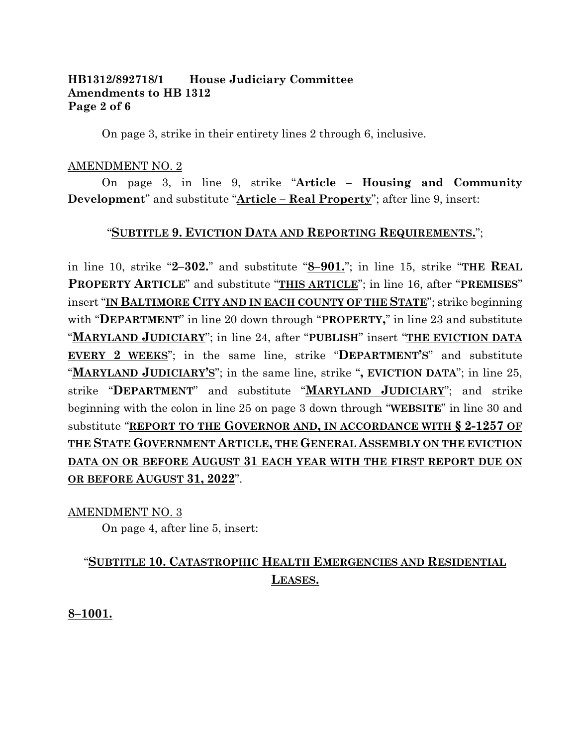### **HB1312/892718/1 House Judiciary Committee Amendments to HB 1312 Page 2 of 6**

On page 3, strike in their entirety lines 2 through 6, inclusive.

#### AMENDMENT NO. 2

On page 3, in line 9, strike "**Article – Housing and Community Development**" and substitute "**Article – Real Property**"; after line 9, insert:

### "**SUBTITLE 9. EVICTION DATA AND REPORTING REQUIREMENTS.**";

in line 10, strike "**2–302.**" and substitute "**8–901.**"; in line 15, strike "**THE REAL PROPERTY ARTICLE**" and substitute "**THIS ARTICLE**"; in line 16, after "**PREMISES**" insert "**IN BALTIMORE CITY AND IN EACH COUNTY OF THE STATE**"; strike beginning with "**DEPARTMENT**" in line 20 down through "**PROPERTY,**" in line 23 and substitute "**MARYLAND JUDICIARY**"; in line 24, after "**PUBLISH**" insert "**THE EVICTION DATA EVERY 2 WEEKS**"; in the same line, strike "**DEPARTMENT'S**" and substitute "**MARYLAND JUDICIARY'S**"; in the same line, strike "**, EVICTION DATA**"; in line 25, strike "**DEPARTMENT**" and substitute "**MARYLAND JUDICIARY**"; and strike beginning with the colon in line 25 on page 3 down through "**WEBSITE**" in line 30 and substitute "**REPORT TO THE GOVERNOR AND, IN ACCORDANCE WITH § 2-1257 OF THE STATE GOVERNMENT ARTICLE, THE GENERAL ASSEMBLY ON THE EVICTION DATA ON OR BEFORE AUGUST 31 EACH YEAR WITH THE FIRST REPORT DUE ON OR BEFORE AUGUST 31, 2022**".

AMENDMENT NO. 3

On page 4, after line 5, insert:

## "**SUBTITLE 10. CATASTROPHIC HEALTH EMERGENCIES AND RESIDENTIAL LEASES.**

**8–1001.**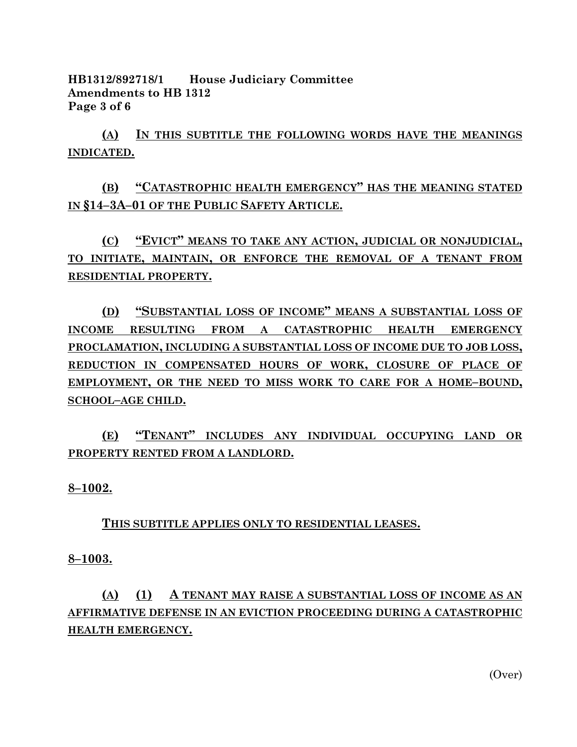**HB1312/892718/1 House Judiciary Committee Amendments to HB 1312 Page 3 of 6**

**(A) IN THIS SUBTITLE THE FOLLOWING WORDS HAVE THE MEANINGS INDICATED.**

**(B) "CATASTROPHIC HEALTH EMERGENCY" HAS THE MEANING STATED IN §14–3A–01 OF THE PUBLIC SAFETY ARTICLE.**

**(C) "EVICT" MEANS TO TAKE ANY ACTION, JUDICIAL OR NONJUDICIAL, TO INITIATE, MAINTAIN, OR ENFORCE THE REMOVAL OF A TENANT FROM RESIDENTIAL PROPERTY.**

**(D) "SUBSTANTIAL LOSS OF INCOME" MEANS A SUBSTANTIAL LOSS OF INCOME RESULTING FROM A CATASTROPHIC HEALTH EMERGENCY PROCLAMATION, INCLUDING A SUBSTANTIAL LOSS OF INCOME DUE TO JOB LOSS, REDUCTION IN COMPENSATED HOURS OF WORK, CLOSURE OF PLACE OF EMPLOYMENT, OR THE NEED TO MISS WORK TO CARE FOR A HOME–BOUND, SCHOOL–AGE CHILD.**

**(E) "TENANT" INCLUDES ANY INDIVIDUAL OCCUPYING LAND OR PROPERTY RENTED FROM A LANDLORD.**

**8–1002.**

**THIS SUBTITLE APPLIES ONLY TO RESIDENTIAL LEASES.**

**8–1003.**

# **(A) (1) A TENANT MAY RAISE A SUBSTANTIAL LOSS OF INCOME AS AN AFFIRMATIVE DEFENSE IN AN EVICTION PROCEEDING DURING A CATASTROPHIC HEALTH EMERGENCY.**

(Over)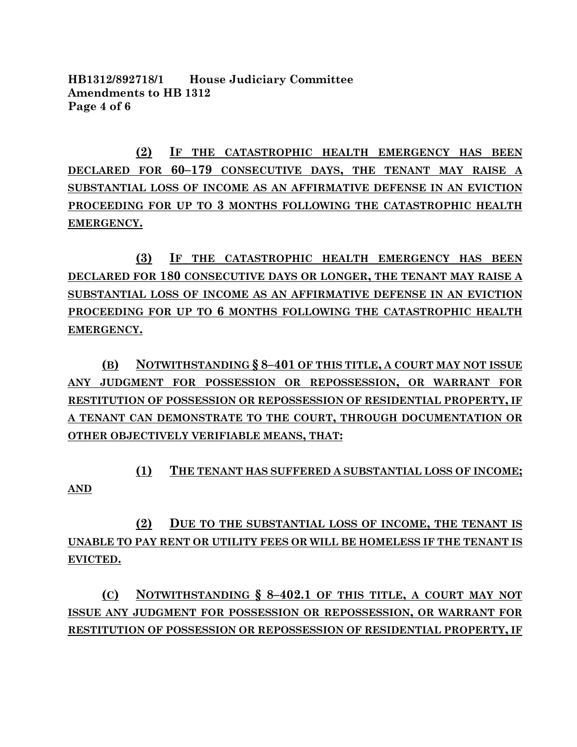**HB1312/892718/1 House Judiciary Committee Amendments to HB 1312 Page 4 of 6**

**(2) IF THE CATASTROPHIC HEALTH EMERGENCY HAS BEEN DECLARED FOR 60–179 CONSECUTIVE DAYS, THE TENANT MAY RAISE A SUBSTANTIAL LOSS OF INCOME AS AN AFFIRMATIVE DEFENSE IN AN EVICTION PROCEEDING FOR UP TO 3 MONTHS FOLLOWING THE CATASTROPHIC HEALTH EMERGENCY.**

**(3) IF THE CATASTROPHIC HEALTH EMERGENCY HAS BEEN DECLARED FOR 180 CONSECUTIVE DAYS OR LONGER, THE TENANT MAY RAISE A SUBSTANTIAL LOSS OF INCOME AS AN AFFIRMATIVE DEFENSE IN AN EVICTION PROCEEDING FOR UP TO 6 MONTHS FOLLOWING THE CATASTROPHIC HEALTH EMERGENCY.**

**(B) NOTWITHSTANDING § 8–401 OF THIS TITLE, A COURT MAY NOT ISSUE ANY JUDGMENT FOR POSSESSION OR REPOSSESSION, OR WARRANT FOR RESTITUTION OF POSSESSION OR REPOSSESSION OF RESIDENTIAL PROPERTY, IF A TENANT CAN DEMONSTRATE TO THE COURT, THROUGH DOCUMENTATION OR OTHER OBJECTIVELY VERIFIABLE MEANS, THAT:**

**(1) THE TENANT HAS SUFFERED A SUBSTANTIAL LOSS OF INCOME; AND**

**(2) DUE TO THE SUBSTANTIAL LOSS OF INCOME, THE TENANT IS UNABLE TO PAY RENT OR UTILITY FEES OR WILL BE HOMELESS IF THE TENANT IS EVICTED.**

**(C) NOTWITHSTANDING § 8–402.1 OF THIS TITLE, A COURT MAY NOT ISSUE ANY JUDGMENT FOR POSSESSION OR REPOSSESSION, OR WARRANT FOR RESTITUTION OF POSSESSION OR REPOSSESSION OF RESIDENTIAL PROPERTY, IF**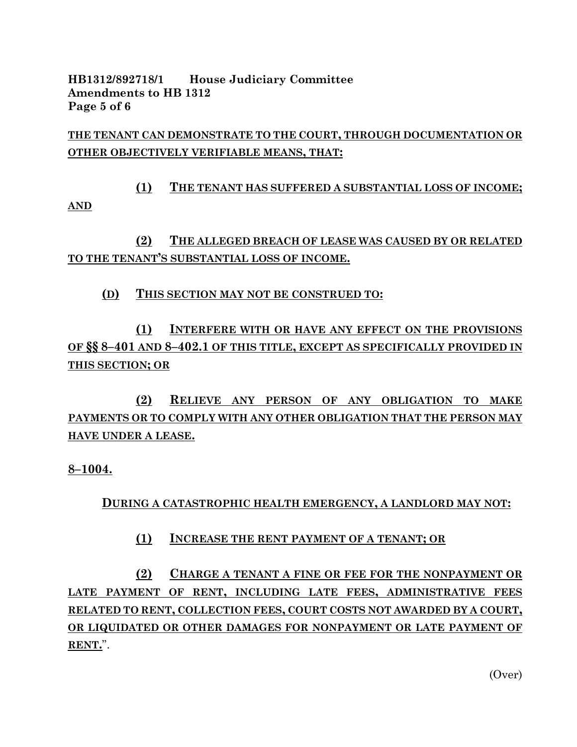**HB1312/892718/1 House Judiciary Committee Amendments to HB 1312 Page 5 of 6**

**THE TENANT CAN DEMONSTRATE TO THE COURT, THROUGH DOCUMENTATION OR OTHER OBJECTIVELY VERIFIABLE MEANS, THAT:**

**(1) THE TENANT HAS SUFFERED A SUBSTANTIAL LOSS OF INCOME; AND** 

**(2) THE ALLEGED BREACH OF LEASE WAS CAUSED BY OR RELATED TO THE TENANT'S SUBSTANTIAL LOSS OF INCOME.**

**(D) THIS SECTION MAY NOT BE CONSTRUED TO:**

**(1) INTERFERE WITH OR HAVE ANY EFFECT ON THE PROVISIONS OF §§ 8–401 AND 8–402.1 OF THIS TITLE, EXCEPT AS SPECIFICALLY PROVIDED IN THIS SECTION; OR**

**(2) RELIEVE ANY PERSON OF ANY OBLIGATION TO MAKE PAYMENTS OR TO COMPLY WITH ANY OTHER OBLIGATION THAT THE PERSON MAY HAVE UNDER A LEASE.**

**8–1004.**

**DURING A CATASTROPHIC HEALTH EMERGENCY, A LANDLORD MAY NOT:**

**(1) INCREASE THE RENT PAYMENT OF A TENANT; OR** 

**(2) CHARGE A TENANT A FINE OR FEE FOR THE NONPAYMENT OR LATE PAYMENT OF RENT, INCLUDING LATE FEES, ADMINISTRATIVE FEES RELATED TO RENT, COLLECTION FEES, COURT COSTS NOT AWARDED BY A COURT, OR LIQUIDATED OR OTHER DAMAGES FOR NONPAYMENT OR LATE PAYMENT OF RENT.**".

(Over)